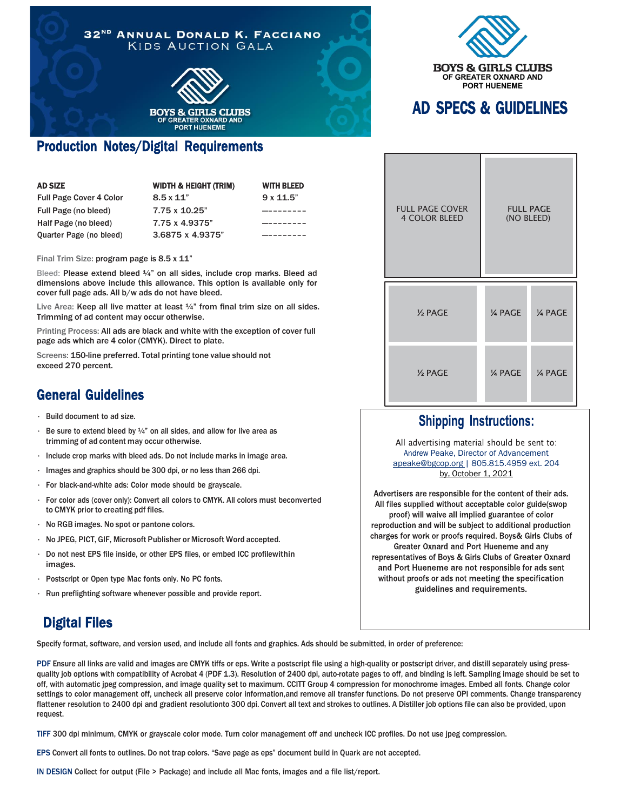



## Production Notes/Digital Requirements

| AD SIZE                        | <b>WIDTH &amp; HEIGHT (TRIM)</b> | <b>WITH BLEED</b> |
|--------------------------------|----------------------------------|-------------------|
| <b>Full Page Cover 4 Color</b> | $8.5 \times 11$ "                | $9 \times 11.5$ " |
| Full Page (no bleed)           | 7.75 x 10.25"                    |                   |
| Half Page (no bleed)           | 7.75 x 4.9375"                   |                   |
| Quarter Page (no bleed)        | 3.6875 x 4.9375"                 |                   |

Final Trim Size: program page is 8.5 x 11"

Bleed: Please extend bleed ¼" on all sides, include crop marks. Bleed ad dimensions above include this allowance. This option is available only for cover full page ads. All b/w ads do not have bleed.

Live Area: Keep all live matter at least  $\frac{1}{4}$  from final trim size on all sides. Trimming of ad content may occur otherwise.

Printing Process: All ads are black and white with the exception of cover full page ads which are 4 color (CMYK). Direct to plate.

Screens: 150-line preferred. Total printing tone value should not exceed 270 percent.

### General Guidelines

- Build document to ad size.
- Be sure to extend bleed by  $\frac{1}{4}$ " on all sides, and allow for live area as trimming of ad content may occur otherwise.
- Include crop marks with bleed ads. Do not include marks in image area.
- Images and graphics should be 300 dpi, or no less than 266 dpi.
- For black-and-white ads: Color mode should be grayscale.
- For color ads (cover only): Convert all colors to CMYK. All colors must beconverted to CMYK prior to creating pdf files.
- No RGB images. No spot or pantone colors.
- No JPEG, PICT, GIF, Microsoft Publisher or Microsoft Word accepted.
- Do not nest EPS file inside, or other EPS files, or embed ICC profilewithin images.
- Postscript or Open type Mac fonts only. No PC fonts.
- Run preflighting software whenever possible and provide report.

# AD SPECS & GUIDELINES

| <b>FULL PAGE COVER</b><br><b>4 COLOR BLEED</b> | <b>FULL PAGE</b><br>(NO BLEED) |                |
|------------------------------------------------|--------------------------------|----------------|
| 1/2 PAGE                                       | <b>14 PAGE</b>                 | <b>14 PAGE</b> |
| 1/ <sub>2</sub> PAGE                           | 1/4 PAGE                       | 1/4 PAGE       |

#### **Shipping Instructions:**

All advertising material should be sent to: Andrew Peake, Director of Advancement [apeake@bgcop.org](mailto:apeake@bgcop.org) | 805.815.4959 ext. 204 by, October 1, 2021

Advertisers are responsible for the content of their ads. All files supplied without acceptable color guide(swop proof) will waive all implied guarantee of color reproduction and will be subject to additional production charges for work or proofs required. Boys& Girls Clubs of Greater Oxnard and Port Hueneme and any representatives of Boys & Girls Clubs of Greater Oxnard and Port Hueneme are not responsible for ads sent without proofs or ads not meeting the specification guidelines and requirements.

## Digital Files

Specify format, software, and version used, and include all fonts and graphics. Ads should be submitted, in order of preference:

PDF Ensure all links are valid and images are CMYK tiffs or eps. Write a postscript file using a high-quality or postscript driver, and distill separately using pressquality job options with compatibility of Acrobat 4 (PDF 1.3). Resolution of 2400 dpi, auto-rotate pages to off, and binding is left. Sampling image should be set to off, with automatic jpeg compression, and image quality set to maximum. CCITT Group 4 compression for monochrome images. Embed all fonts. Change color settings to color management off, uncheck all preserve color information,and remove all transfer functions. Do not preserve OPI comments. Change transparency flattener resolution to 2400 dpi and gradient resolutionto 300 dpi. Convert all text and strokes to outlines. A Distiller job options file can also be provided, upon request.

TIFF 300 dpi minimum, CMYK or grayscale color mode. Turn color management off and uncheck ICC profiles. Do not use jpeg compression.

EPS Convert all fonts to outlines. Do not trap colors. "Save page as eps" document build in Quark are not accepted.

IN DESIGN Collect for output (File > Package) and include all Mac fonts, images and a file list/report.